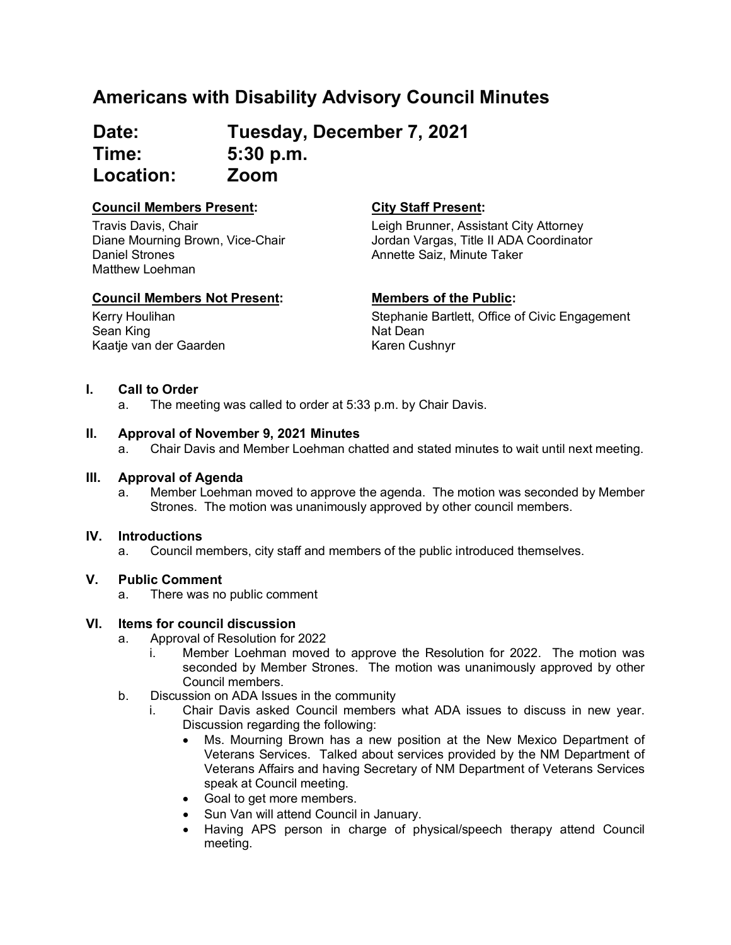## **Americans with Disability Advisory Council Minutes**

**Date: Tuesday, December 7, 2021 Time: 5:30 p.m. Location: Zoom**

## **Council Members Present: City Staff Present:**

Travis Davis, Chair Diane Mourning Brown, Vice-Chair Daniel Strones Matthew Loehman

### **Council Members Not Present: Members of the Public:**

Kerry Houlihan Sean King

Leigh Brunner, Assistant City Attorney Jordan Vargas, Title II ADA Coordinator Annette Saiz, Minute Taker

Stephanie Bartlett, Office of Civic Engagement Nat Dean Karen Cushnyr

### **I. Call to Order**

Kaatje van der Gaarden

a. The meeting was called to order at 5:33 p.m. by Chair Davis.

### **II. Approval of November 9, 2021 Minutes**

a. Chair Davis and Member Loehman chatted and stated minutes to wait until next meeting.

# **III. Approval of Agenda**

Member Loehman moved to approve the agenda. The motion was seconded by Member Strones. The motion was unanimously approved by other council members.

### **IV. Introductions**

a. Council members, city staff and members of the public introduced themselves.

### **V. Public Comment**

a. There was no public comment

### **VI. Items for council discussion**

- a. Approval of Resolution for 2022
	- i. Member Loehman moved to approve the Resolution for 2022. The motion was seconded by Member Strones. The motion was unanimously approved by other Council members.
- b. Discussion on ADA Issues in the community
	- i. Chair Davis asked Council members what ADA issues to discuss in new year. Discussion regarding the following:
		- Ms. Mourning Brown has a new position at the New Mexico Department of Veterans Services. Talked about services provided by the NM Department of Veterans Affairs and having Secretary of NM Department of Veterans Services speak at Council meeting.
		- Goal to get more members.
		- Sun Van will attend Council in January.
		- Having APS person in charge of physical/speech therapy attend Council meeting.